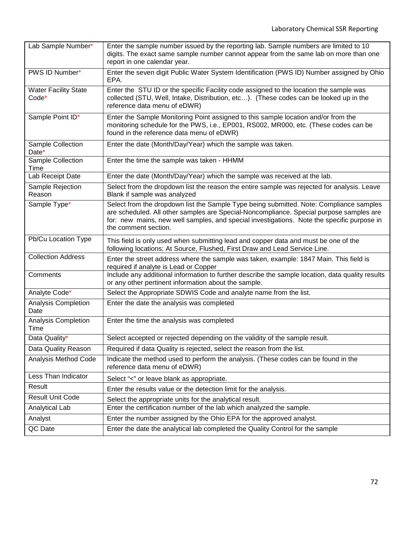| Lab Sample Number*                   | Enter the sample number issued by the reporting lab. Sample numbers are limited to 10<br>digits. The exact same sample number cannot appear from the same lab on more than one<br>report in one calendar year.                                                                                           |
|--------------------------------------|----------------------------------------------------------------------------------------------------------------------------------------------------------------------------------------------------------------------------------------------------------------------------------------------------------|
| PWS ID Number*                       | Enter the seven digit Public Water System Identification (PWS ID) Number assigned by Ohio<br>EPA.                                                                                                                                                                                                        |
| <b>Water Facility State</b><br>Code* | Enter the STU ID or the specific Facility code assigned to the location the sample was<br>collected (STU, Well, Intake, Distribution, etc). (These codes can be looked up in the<br>reference data menu of eDWR)                                                                                         |
| Sample Point ID*                     | Enter the Sample Monitoring Point assigned to this sample location and/or from the<br>monitoring schedule for the PWS, i.e., EP001, RS002, MR000, etc. (These codes can be<br>found in the reference data menu of eDWR)                                                                                  |
| Sample Collection<br>Date*           | Enter the date (Month/Day/Year) which the sample was taken.                                                                                                                                                                                                                                              |
| Sample Collection<br>Time            | Enter the time the sample was taken - HHMM                                                                                                                                                                                                                                                               |
| Lab Receipt Date                     | Enter the date (Month/Day/Year) which the sample was received at the lab.                                                                                                                                                                                                                                |
| Sample Rejection<br>Reason           | Select from the dropdown list the reason the entire sample was rejected for analysis. Leave<br>Blank if sample was analyzed                                                                                                                                                                              |
| Sample Type*                         | Select from the dropdown list the Sample Type being submitted. Note: Compliance samples<br>are scheduled. All other samples are Special-Noncompliance. Special purpose samples are<br>for: new mains, new well samples, and special investigations. Note the specific purpose in<br>the comment section. |
| Pb/Cu Location Type                  | This field is only used when submitting lead and copper data and must be one of the<br>following locations: At Source, Flushed, First Draw and Lead Service Line.                                                                                                                                        |
| <b>Collection Address</b>            | Enter the street address where the sample was taken, example: 1847 Main. This field is<br>required if analyte is Lead or Copper                                                                                                                                                                          |
| Comments                             | Include any additional information to further describe the sample location, data quality results<br>or any other pertinent information about the sample.                                                                                                                                                 |
| Analyte Code*                        | Select the Appropriate SDWIS Code and analyte name from the list.                                                                                                                                                                                                                                        |
| Analysis Completion<br>Date          | Enter the date the analysis was completed                                                                                                                                                                                                                                                                |
| Analysis Completion<br>Time          | Enter the time the analysis was completed                                                                                                                                                                                                                                                                |
| Data Quality*                        | Select accepted or rejected depending on the validity of the sample result.                                                                                                                                                                                                                              |
| Data Quality Reason                  | Required if data Quality is rejected, select the reason from the list.                                                                                                                                                                                                                                   |
| Analysis Method Code                 | Indicate the method used to perform the analysis. (These codes can be found in the<br>reference data menu of eDWR)                                                                                                                                                                                       |
| Less Than Indicator                  | Select "<" or leave blank as appropriate.                                                                                                                                                                                                                                                                |
| Result                               | Enter the results value or the detection limit for the analysis.                                                                                                                                                                                                                                         |
| <b>Result Unit Code</b>              | Select the appropriate units for the analytical result.                                                                                                                                                                                                                                                  |
| Analytical Lab                       | Enter the certification number of the lab which analyzed the sample.                                                                                                                                                                                                                                     |
| Analyst                              | Enter the number assigned by the Ohio EPA for the approved analyst.                                                                                                                                                                                                                                      |
| QC Date                              | Enter the date the analytical lab completed the Quality Control for the sample                                                                                                                                                                                                                           |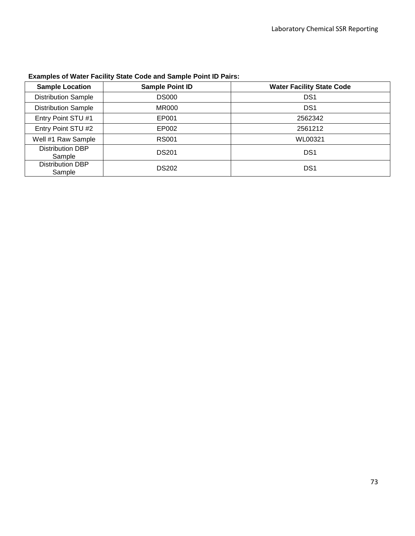### **Examples of Water Facility State Code and Sample Point ID Pairs:**

| <b>Sample Location</b>            | <b>Sample Point ID</b> | <b>Water Facility State Code</b> |
|-----------------------------------|------------------------|----------------------------------|
| <b>Distribution Sample</b>        | <b>DS000</b>           | DS <sub>1</sub>                  |
| <b>Distribution Sample</b>        | <b>MR000</b>           | DS <sub>1</sub>                  |
| Entry Point STU #1                | EP001                  | 2562342                          |
| Entry Point STU #2                | EP002                  | 2561212                          |
| Well #1 Raw Sample                | <b>RS001</b>           | WL00321                          |
| <b>Distribution DBP</b><br>Sample | <b>DS201</b>           | DS <sub>1</sub>                  |
| <b>Distribution DBP</b><br>Sample | <b>DS202</b>           | DS <sub>1</sub>                  |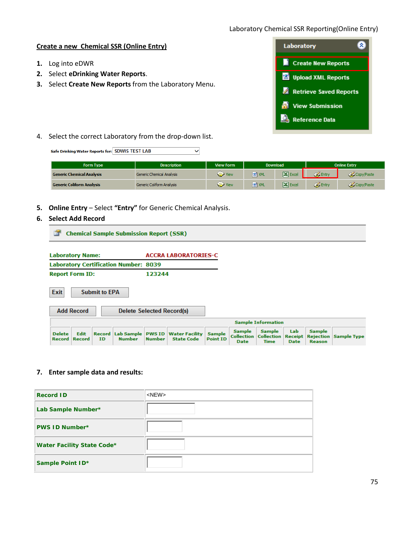## × Laboratory D **Create New Reports** Upload XML Reports Retrieve Saved Reports View Submission Reference Data

4. Select the correct Laboratory from the drop-down list.

**3.** Select **Create New Reports** from the Laboratory Menu.

**Create a new Chemical SSR (Online Entry)**

Safe Drinking Water Reports for: SDWIS TEST LAB

**2.** Select **eDrinking Water Reports**.

| __                               |                                  |                  |          |           |        |                     |
|----------------------------------|----------------------------------|------------------|----------|-----------|--------|---------------------|
| <b>Form Type</b>                 | <b>Description</b>               | <b>View Form</b> | Download |           |        | <b>Online Entry</b> |
| <b>Generic Chemical Analysis</b> | Generic Chemical Analysis        | View             | ≌ XML    | $X$ Excel | GEntry | Copy/Paste          |
| <b>Generic Coliform Analysis</b> | <b>Generic Coliform Analysis</b> | View             | ≌ XML    | X Excel   | Entry  | Copy/Paste          |

 $\overline{\vee}$ 

**5. Online Entry** – Select **"Entry"** for Generic Chemical Analysis.

#### **6. Select Add Record**

**1.** Log into eDWR

Chemical Sample Submission Report (SSR)

| <b>Laboratory Name:</b>                      | <b>ACCRA LABORATORIES-C</b> |  |  |  |  |  |
|----------------------------------------------|-----------------------------|--|--|--|--|--|
| <b>Laboratory Certification Number: 8039</b> |                             |  |  |  |  |  |
| <b>Report Form ID:</b>                       | 123244                      |  |  |  |  |  |
| <b>Counties</b><br>Colombia de EDA           |                             |  |  |  |  |  |

|  | EXIL<br><b>SUDITIL TO EPA</b>                  |      |           |  |  |                                                                                  |                           |                              |                       |              |                                |                                                             |
|--|------------------------------------------------|------|-----------|--|--|----------------------------------------------------------------------------------|---------------------------|------------------------------|-----------------------|--------------|--------------------------------|-------------------------------------------------------------|
|  | <b>Add Record</b><br>Delete Selected Record(s) |      |           |  |  |                                                                                  |                           |                              |                       |              |                                |                                                             |
|  |                                                |      |           |  |  |                                                                                  | <b>Sample Information</b> |                              |                       |              |                                |                                                             |
|  | Delete  <br><b>Record Record</b>               | Edit | <b>ID</b> |  |  | Record Lab Sample   PWS ID   Water Facility   Sample<br>Number Number State Code | <b>Point ID</b>           | <b>Sample</b><br><b>Date</b> | Sample<br><b>Time</b> | Lab.<br>Date | <b>Sample</b><br><b>Reason</b> | Collection   Collection   Receipt   Rejection   Sample Type |

#### **7. Enter sample data and results:**

| <b>Record ID</b>                  | $<$ NEW $>$ |
|-----------------------------------|-------------|
| Lab Sample Number*                |             |
| PWS ID Number*                    |             |
| <b>Water Facility State Code*</b> |             |
| Sample Point ID*                  |             |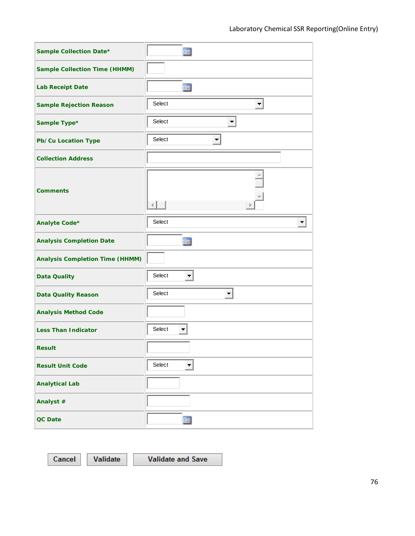| Sample Collection Date*                | m                                    |
|----------------------------------------|--------------------------------------|
| <b>Sample Collection Time (HHMM)</b>   |                                      |
| <b>Lab Receipt Date</b>                | ma I                                 |
| <b>Sample Rejection Reason</b>         | Select<br>$\blacksquare$             |
| Sample Type*                           | Select<br>$\blacksquare$             |
| <b>Pb/Cu Location Type</b>             | Select<br>Τ                          |
| <b>Collection Address</b>              |                                      |
| <b>Comments</b>                        | ă.                                   |
| Analyte Code*                          | Select<br>$\overline{\phantom{a}}$   |
| <b>Analysis Completion Date</b>        | mg)                                  |
| <b>Analysis Completion Time (HHMM)</b> |                                      |
| <b>Data Quality</b>                    | Select<br>$\blacksquare$             |
| <b>Data Quality Reason</b>             | Select<br>$\overline{\phantom{a}}$   |
| <b>Analysis Method Code</b>            |                                      |
| <b>Less Than Indicator</b>             | Select<br>$\blacksquare$             |
| <b>Result</b>                          |                                      |
| <b>Result Unit Code</b>                | Select<br>$\left. \cdot \right\vert$ |
| <b>Analytical Lab</b>                  |                                      |
| Analyst #                              |                                      |
| <b>QC Date</b>                         | 蘁                                    |

Cancel

Validate

**Validate and Save**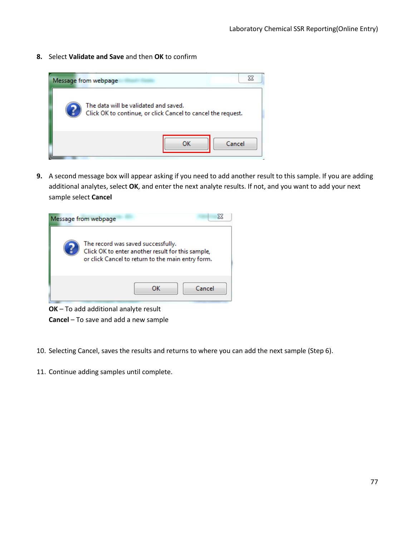**8.** Select **Validate and Save** and then **OK** to confirm



**9.** A second message box will appear asking if you need to add another result to this sample. If you are adding additional analytes, select **OK**, and enter the next analyte results. If not, and you want to add your next sample select **Cancel**



**OK** – To add additional analyte result

**Cancel** – To save and add a new sample

- 10. Selecting Cancel, saves the results and returns to where you can add the next sample (Step 6).
- 11. Continue adding samples until complete.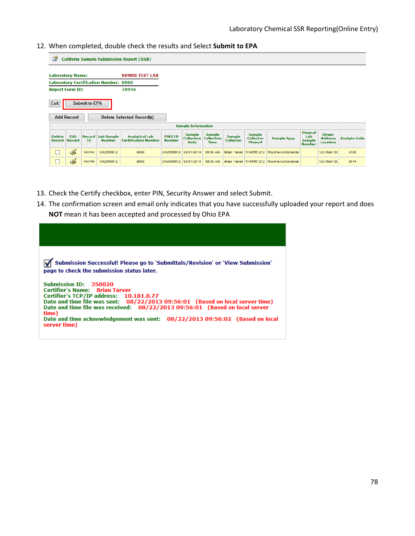12. When completed, double check the results and Select **Submit to EPA**

| 節                                                                                                                  | <b>Coliform Sample Submission Report (SSR)</b> |        |                                              |                                                      |                                |                                                   |                                                   |                                   |                                             |                    |                                                   |                                                    |                     |
|--------------------------------------------------------------------------------------------------------------------|------------------------------------------------|--------|----------------------------------------------|------------------------------------------------------|--------------------------------|---------------------------------------------------|---------------------------------------------------|-----------------------------------|---------------------------------------------|--------------------|---------------------------------------------------|----------------------------------------------------|---------------------|
| <b>Laboratory Name:</b>                                                                                            |                                                |        |                                              | <b>SDWIS TEST LAB</b>                                |                                |                                                   |                                                   |                                   |                                             |                    |                                                   |                                                    |                     |
|                                                                                                                    |                                                |        | <b>Laboratory Certification Number: 0000</b> |                                                      |                                |                                                   |                                                   |                                   |                                             |                    |                                                   |                                                    |                     |
| <b>Report Form ID:</b>                                                                                             |                                                |        |                                              | 78956                                                |                                |                                                   |                                                   |                                   |                                             |                    |                                                   |                                                    |                     |
| Exit<br><b>Submit to EPA</b><br><b>Add Record</b><br><b>Delete Selected Record(s)</b><br><b>Sample Information</b> |                                                |        |                                              |                                                      |                                |                                                   |                                                   |                                   |                                             |                    |                                                   |                                                    |                     |
| <b>Delete</b><br>Record                                                                                            | <b>Edit</b><br><b>Record</b>                   | ID     | <b>Record Lab Sample</b><br><b>Number</b>    | <b>Analytical Lab</b><br><b>Certification Number</b> | <b>PWS ID</b><br><b>Number</b> | <b>Sample</b><br><b>Collection</b><br><b>Date</b> | <b>Sample</b><br><b>Collection</b><br><b>Time</b> | <b>Sample</b><br><b>Collector</b> | <b>Sample</b><br><b>Collector</b><br>Phone# | <b>Sample Type</b> | Original<br>Lab<br><b>Sample</b><br><b>Number</b> | <b>Street</b><br><b>Address</b><br><b>Location</b> | <b>Analyte Code</b> |
| $\Box$                                                                                                             | B                                              | 143743 | OH2599912                                    | 8000                                                 | OH2599912                      | 03/01/2014                                        | 09:30 AM                                          |                                   | Brian Tarver 6145551212                     | Routine-Compliance |                                                   | 123 Main St                                        | 3100                |
|                                                                                                                    | B                                              | 143749 | OH2599912                                    | 8000                                                 | OH2599912 03/01/2014           |                                                   | 09:30 AM                                          |                                   | Brian Tarver 6145551212                     | Routine-Compliance |                                                   | 123 Main St                                        | 3014                |

- 13. Check the Certify checkbox, enter PIN, Security Answer and select Submit.
- 14. The confirmation screen and email only indicates that you have successfully uploaded your report and does **NOT** mean it has been accepted and processed by Ohio EPA

| Submission Successful! Please go to 'Submittals/Revision' or 'View Submission'<br>page to check the submission status later.                                                                                                                                                       |
|------------------------------------------------------------------------------------------------------------------------------------------------------------------------------------------------------------------------------------------------------------------------------------|
| Submission ID: 350020<br><b>Certifier's Name: Brian Tarver</b><br>Certifier's TCP/IP address: 10.181.8.77<br>Date and time file was sent: 08/22/2013 09:56:01 (Based on local server time)<br>Date and time file was received: 08/22/2013 09:56:01 (Based on local server<br>time) |
| Date and time acknowledgement was sent: 08/22/2013 09:56:02 (Based on local<br>server time)                                                                                                                                                                                        |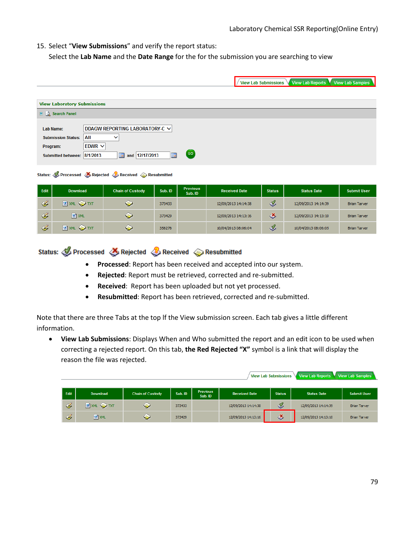#### 15. Select "**View Submissions**" and verify the report status:

Select the **Lab Name** and the **Date Range** for the for the submission you are searching to view

|                                                                                                                                                                                         |    | <b>View Lab Submissions</b> | View Lab Reports View Lab Samples |
|-----------------------------------------------------------------------------------------------------------------------------------------------------------------------------------------|----|-----------------------------|-----------------------------------|
|                                                                                                                                                                                         |    |                             |                                   |
| <b>View Laboratory Submissions</b>                                                                                                                                                      |    |                             |                                   |
| $\Box$ Search Panel                                                                                                                                                                     |    |                             |                                   |
| DDAGW REPORTING LABORATORY-C V<br><b>Lab Name:</b><br>All<br><b>Submission Status:</b><br>$\checkmark$<br>$EDWR \vee$<br>Program:<br>and 12/17/2013<br>Submitted between: 8/1/2013<br>画 | GO |                             |                                   |

#### Status: CoProcessed & Rejected CoReceived CoResubmitted

| Edit          | <b>Download</b> | <b>Chain of Custody</b> | Sub. ID | <b>Previous</b><br>Sub. ID | <b>Received Date</b> | <b>Status</b> | <b>Status Date</b>  | <b>Submit User</b>  |
|---------------|-----------------|-------------------------|---------|----------------------------|----------------------|---------------|---------------------|---------------------|
| Ŷ,            | <b>EXML</b> TXT | ❤                       | 373433  |                            | 12/09/2013 14:14:38  | ℐ             | 12/09/2013 14:14:39 | <b>Brian Tarver</b> |
| $\mathscr{L}$ | 图 XML           | $\blacktriangleright$   | 373429  |                            | 12/09/2013 14:13:16  | ц             | 12/09/2013 14:13:10 | <b>Brian Tarver</b> |
| Ĝ,            | <b>EXML</b> TXT | ❤                       | 358278  |                            | 10/04/2013 08:06:04  | ℐ             | 10/04/2013 08:06:05 | <b>Brian Tarver</b> |

## Status: C Processed & Rejected & Received & Resubmitted

- **Processed**: Report has been received and accepted into our system.
- **Rejected**: Report must be retrieved, corrected and re-submitted.
- **Received**: Report has been uploaded but not yet processed.
- **Resubmitted**: Report has been retrieved, corrected and re-submitted.

Note that there are three Tabs at the top lf the View submission screen. Each tab gives a little different information.

• **View Lab Submissions**: Displays When and Who submitted the report and an edit icon to be used when correcting a rejected report. On this tab, **the Red Rejected "X"** symbol is a link that will display the reason the file was rejected.

|      |                      | View Lab Submissions V View Lab Reports V View Lab Samples |         |                            |                      |               |                     |                     |  |  |  |
|------|----------------------|------------------------------------------------------------|---------|----------------------------|----------------------|---------------|---------------------|---------------------|--|--|--|
|      |                      |                                                            |         |                            |                      |               |                     |                     |  |  |  |
| Edit | <b>Download</b>      | <b>Chain of Custody</b>                                    | Sub. ID | <b>Previous</b><br>Sub. ID | <b>Received Date</b> | <b>Status</b> | <b>Status Date</b>  | <b>Submit User</b>  |  |  |  |
| 4    | <b>EN XML OF TXT</b> | ❤                                                          | 373433  |                            | 12/09/2013 14:14:38  | ℐ             | 12/09/2013 14:14:39 | <b>Brian Tarver</b> |  |  |  |
| Â,   | <b>PO XML</b>        | ❤                                                          | 373429  |                            | 12/09/2013 14:13:16  | ♨             | 12/09/2013 14:13:10 | <b>Brian Tarver</b> |  |  |  |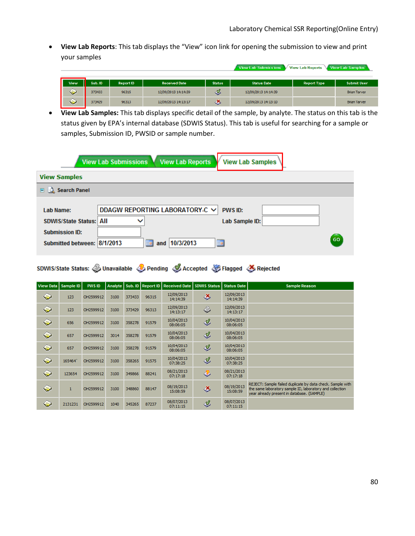• **View Lab Reports**: This tab displays the "View" icon link for opening the submission to view and print your samples

|      |         |                  |                      |               | View Lab Submissions | <b>View Lab Reports</b> | <b>View Lab Samples</b> |
|------|---------|------------------|----------------------|---------------|----------------------|-------------------------|-------------------------|
|      |         |                  |                      |               |                      |                         |                         |
| View | Sub. ID | <b>Report ID</b> | <b>Received Date</b> | <b>Status</b> | <b>Status Date</b>   | <b>Report Type</b>      | <b>Submit User</b>      |
| ◇    | 373433  | 96315            | 12/09/2013 14:14:39  | ℐ             | 12/09/2013 14:14:39  |                         | <b>Brian Tarver</b>     |
| ❤    | 373429  | 96313            | 12/09/2013 14:13:17  | ц             | 12/09/2013 14:13:10  |                         | <b>Brian Tarver</b>     |

• **View Lab Samples:** This tab displays specific detail of the sample, by analyte. The status on this tab is the status given by EPA's internal database (SDWIS Status). This tab is useful for searching for a sample or samples, Submission ID, PWSID or sample number.

|                                | <b>View Lab Submissions</b> | View Lab Reports               | <b>View Lab Samples</b> |    |
|--------------------------------|-----------------------------|--------------------------------|-------------------------|----|
| <b>View Samples</b>            |                             |                                |                         |    |
| $\Box$ Search Panel            |                             |                                |                         |    |
|                                |                             |                                |                         |    |
| Lab Name:                      |                             | DDAGW REPORTING LABORATORY-C V | PWS ID:                 |    |
| <b>SDWIS/State Status: All</b> | ◡                           |                                | Lab Sample ID:          |    |
| <b>Submission ID:</b>          |                             |                                |                         |    |
| Submitted between: 8/1/2013    |                             | <b>III</b><br>10/3/2013<br>and | H                       | GO |
|                                |                             |                                |                         |    |

SDWIS/State Status: & Unavailable & Pending & Accepted & Flagged & Rejected

| View Data   Sample ID |         | <b>PWS ID</b> | <b>Analyte</b> | Sub. ID | Report ID | <b>Received Date</b>   | <b>SDWIS Status</b> | Status Date            | <b>Sample Reason</b>                                                                                                                                                 |
|-----------------------|---------|---------------|----------------|---------|-----------|------------------------|---------------------|------------------------|----------------------------------------------------------------------------------------------------------------------------------------------------------------------|
| ❤                     | 123     | OH2599912     | 3100           | 373433  | 96315     | 12/09/2013<br>14:14:39 | ц                   | 12/09/2013<br>14:14:39 |                                                                                                                                                                      |
| ❤                     | 123     | OH2599912     | 3100           | 373429  | 96313     | 12/09/2013<br>14:13:17 | ◈                   | 12/09/2013<br>14:13:17 |                                                                                                                                                                      |
| ❤                     | 656     | OH2599912     | 3100           | 358278  | 91579     | 10/04/2013<br>08:06:05 | ℐ                   | 10/04/2013<br>08:06:05 |                                                                                                                                                                      |
| ❤                     | 657     | OH2599912     | 3014           | 358278  | 91579     | 10/04/2013<br>08:06:05 | ℐ                   | 10/04/2013<br>08:06:05 |                                                                                                                                                                      |
| ❤                     | 657     | OH2599912     | 3100           | 358278  | 91579     | 10/04/2013<br>08:06:05 | ℐ                   | 10/04/2013<br>08:06:05 |                                                                                                                                                                      |
| ◇                     | 165464  | OH2599912     | 3100           | 358265  | 91575     | 10/04/2013<br>07:38:25 | ${\mathcal{Q}}$     | 10/04/2013<br>07:38:25 |                                                                                                                                                                      |
| ❤                     | 123654  | OH2599912     | 3100           | 349866  | 88241     | 08/21/2013<br>07:17:18 | €                   | 08/21/2013<br>07:17:18 |                                                                                                                                                                      |
| ❤                     | 1       | OH2599912     | 3100           | 348860  | 88147     | 08/19/2013<br>15:08:59 | ц                   | 08/19/2013<br>15:08:59 | REJECT: Sample failed duplicate by data check. Sample with<br>the same laboratory sample ID, laboratory and collection<br>vear already present in database. (SAMPLE) |
| ❤                     | 2131231 | OH2599912     | 1040           | 345265  | 87237     | 08/07/2013<br>07:11:15 | ℐ                   | 08/07/2013<br>07:11:15 |                                                                                                                                                                      |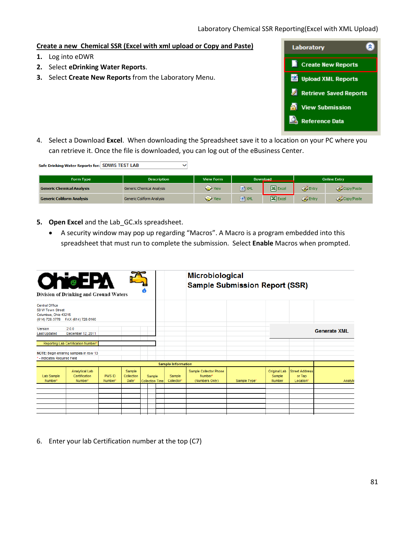#### **Create a new Chemical SSR (Excel with xml upload or Copy and Paste)**

- **1.** Log into eDWR
- **2.** Select **eDrinking Water Reports**.

Safe Drinking Water Reports for: SDWIS TEST LAB

**3.** Select **Create New Reports** from the Laboratory Menu.



4. Select a Download **Excel**. When downloading the Spreadsheet save it to a location on your PC where you can retrieve it. Once the file is downloaded, you can log out of the eBusiness Center.

 $\blacktriangledown$ 

| <b>Form Type</b>                 | <b>Description</b>               | <b>View Form</b> |                    | <b>Download</b> |       | <b>Online Entry</b> |
|----------------------------------|----------------------------------|------------------|--------------------|-----------------|-------|---------------------|
| <b>Generic Chemical Analysis</b> | <b>Generic Chemical Analysis</b> | View             | ≌ XML              | $X$ Excel       | Entry | Copy/Paste          |
| <b>Generic Coliform Analysis</b> | <b>Generic Coliform Analysis</b> | View             | <sup>(2)</sup> XML | <b>X</b> Excel  | Entry | Copy/Paste          |

- **5. Open Excel** and the Lab\_GC.xls spreadsheet.
	- A security window may pop up regarding "Macros". A Macro is a program embedded into this spreadsheet that must run to complete the submission. Select **Enable** Macros when prompted.

|                                                                   | <b>OnigEPA</b><br><b>Division of Drinking and Ground Waters</b>               |                          |                               |                                  |                           | Microbiological<br><b>Sample Submission Report (SSR)</b> |              |                                         |                                              |                     |
|-------------------------------------------------------------------|-------------------------------------------------------------------------------|--------------------------|-------------------------------|----------------------------------|---------------------------|----------------------------------------------------------|--------------|-----------------------------------------|----------------------------------------------|---------------------|
| <b>Central Office</b><br>50 W Town Street<br>Columbus, Ohio 43215 | (614) 728-3778  FAX (614) 728-0160                                            |                          |                               |                                  |                           |                                                          |              |                                         |                                              |                     |
| Version                                                           | 2.0.0                                                                         |                          |                               |                                  |                           |                                                          |              |                                         |                                              | <b>Generate XML</b> |
| <b>Last Updated</b>                                               | December 12, 2011                                                             |                          |                               |                                  |                           |                                                          |              |                                         |                                              |                     |
| * - Indicates Required Field                                      | Reporting Lab Certification Number*<br>NOTE: Begin entering samples in row 13 |                          |                               |                                  |                           |                                                          |              |                                         |                                              |                     |
|                                                                   |                                                                               |                          |                               |                                  | <b>Sample Information</b> |                                                          |              |                                         |                                              |                     |
| <b>Lab Sample</b><br>Number <sup>*</sup>                          | Analytical Lab<br>Certification<br>Number*                                    | <b>PWS ID</b><br>Number* | Sample<br>Collection<br>Date* | Sample<br><b>Collection Time</b> | Sample<br>Collector*      | Sample Collector Phone<br>Number*<br>(Numbers Only)      | Sample Type* | <b>Original Lab</b><br>Sample<br>Number | <b>Street Address</b><br>or Tap<br>Location* | Analyte             |
|                                                                   |                                                                               |                          |                               |                                  |                           |                                                          |              |                                         |                                              |                     |
|                                                                   |                                                                               |                          |                               |                                  |                           |                                                          |              |                                         |                                              |                     |
|                                                                   |                                                                               |                          |                               |                                  |                           |                                                          |              |                                         |                                              |                     |
|                                                                   |                                                                               |                          |                               |                                  |                           |                                                          |              |                                         |                                              |                     |
|                                                                   |                                                                               |                          |                               |                                  |                           |                                                          |              |                                         |                                              |                     |

6. Enter your lab Certification number at the top (C7)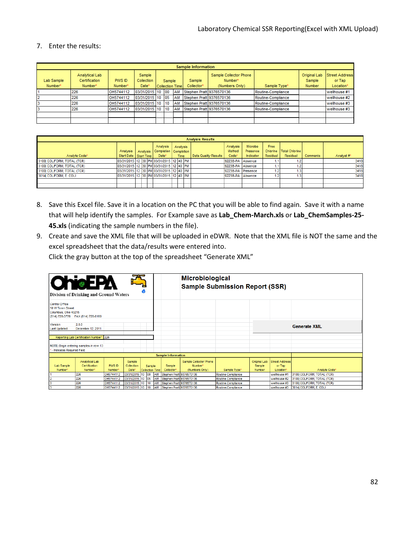#### 7. Enter the results:

|                                   |                                            |                               |                               |        |                        | <b>Sample Information</b> |                                                     |                    |                                  |                                              |
|-----------------------------------|--------------------------------------------|-------------------------------|-------------------------------|--------|------------------------|---------------------------|-----------------------------------------------------|--------------------|----------------------------------|----------------------------------------------|
| Lab Sample<br>Number <sup>*</sup> | Analytical Lab<br>Certification<br>Number* | PWS ID<br>Number <sup>*</sup> | Sample<br>Collection<br>Date* | Sample | <b>Collection Time</b> | Sample<br>Collector*      | Sample Collector Phone<br>Number*<br>(Numbers Only) | Sample Type*       | Original Lab<br>Sample<br>Number | <b>Street Address</b><br>or Tap<br>Location* |
|                                   | 226                                        | OH5744112                     | 03/31/2015 10 00              |        | AM                     | Stephen Pratt 9376570136  |                                                     | Routine-Compliance |                                  | wellhouse #1                                 |
|                                   | 226                                        | OH5744112                     | 03/31/2015 10 05              |        | AM                     | Stephen Pratt 9376570136  |                                                     | Routine-Compliance |                                  | wellhouse #2                                 |
|                                   | 226                                        | OH5744112                     | 03/31/2015 10 10              |        | AM                     | Stephen Pratt 9376570136  |                                                     | Routine-Compliance |                                  | wellhouse #3                                 |
| 3                                 | 226                                        | OH5744112                     | 03/31/2015 10 10              |        | AM                     | Stephen Pratt 9376570136  |                                                     | Routine-Compliance |                                  | wellhouse #3                                 |
|                                   |                                            |                               |                               |        |                        |                           |                                                     |                    |                                  |                                              |
|                                   |                                            |                               |                               |        |                        |                           |                                                     |                    |                                  |                                              |

|                             |                                         |  |          |                                     |             | <b>Analysis Results</b> |                    |                            |          |                           |                 |            |
|-----------------------------|-----------------------------------------|--|----------|-------------------------------------|-------------|-------------------------|--------------------|----------------------------|----------|---------------------------|-----------------|------------|
|                             | Analysis                                |  | Analysis | Analysis<br>Completion   Completion | Analysis    |                         | Analysis<br>Method | <b>Microbe</b><br>Presence | Free     | Chlorine   Total Chlorine |                 |            |
| Analyte Code*               | Start Date   Start Time                 |  |          | Date*                               | <b>Time</b> | Data Quality Results    | Code <sup>*</sup>  | Indicator                  | Residual | Residual                  | <b>Comments</b> | Analyst #* |
| 3100 COLIFORM, TOTAL (TCR)  | 03/31/2015 12 30 PM 03/31/2015 12 40 PM |  |          |                                     |             |                         | 9223B-PA Absence   |                            |          |                           |                 | 3418       |
| 3100 COLIFORM, TOTAL (TCR)  | 03/31/2015 12 30 PM 03/31/2015 12 40 PM |  |          |                                     |             |                         | 9223B-PA Absence   |                            |          |                           |                 | 3418       |
| 3100I COLIFORM, TOTAL (TCR) | 03/31/2015 12 30 PM 03/31/2015 12 40 PM |  |          |                                     |             |                         | 9223B-PA Presence  |                            |          |                           |                 | 3418       |
| 3014 COLIFORM, E. COLI      | 03/31/2015 12 30 PM 03/31/2015 12 40 PM |  |          |                                     |             |                         | 9223B-PA Absence   |                            |          |                           |                 | 3418       |
|                             |                                         |  |          |                                     |             |                         |                    |                            |          |                           |                 |            |
|                             |                                         |  |          |                                     |             |                         |                    |                            |          |                           |                 |            |

- 8. Save this Excel file. Save it in a location on the PC that you will be able to find again. Save it with a name that will help identify the samples. For Example save as **Lab\_Chem-March.xls** or **Lab\_ChemSamples-25- 45.xls** (indicating the sample numbers in the file).
- 9. Create and save the XML file that will be uploaded in eDWR. Note that the XML file is NOT the same and the excel spreadsheet that the data/results were entered into.

Click the gray button at the top of the spreadsheet "Generate XML"

| <b>ONGEPA</b><br><b>Division of Drinking and Ground Waters</b>    |                                            |                          |                               |              |                                  |                           | <b>Microbiological</b><br><b>Sample Submission Report (SSR)</b> |                    |                                  |                                              |                             |
|-------------------------------------------------------------------|--------------------------------------------|--------------------------|-------------------------------|--------------|----------------------------------|---------------------------|-----------------------------------------------------------------|--------------------|----------------------------------|----------------------------------------------|-----------------------------|
| <b>Central Office</b><br>50 W Town Street<br>Columbus, Ohio 43215 | (614) 728-3778  FAX (614) 728-0160         |                          |                               |              |                                  |                           |                                                                 |                    |                                  |                                              |                             |
| Version<br><b>Last Updated</b>                                    | 2.0.0<br>December 12, 2011                 |                          |                               |              |                                  |                           |                                                                 |                    |                                  |                                              | <b>Generate XML</b>         |
|                                                                   | Reporting Lab Certification Number*: 226   |                          |                               |              |                                  |                           |                                                                 |                    |                                  |                                              |                             |
| - Indicates Required Field                                        | NOTE: Begin entering samples in row 13     |                          |                               |              |                                  |                           |                                                                 |                    |                                  |                                              |                             |
|                                                                   |                                            |                          |                               |              |                                  | <b>Sample Information</b> |                                                                 |                    |                                  |                                              |                             |
| Lab Sample<br>Number*                                             | Analytical Lab<br>Certification<br>Number* | <b>PWS ID</b><br>Number* | Sample<br>Collection<br>Date* |              | Sample<br><b>Collection Time</b> | Sample<br>Collector*      | Sample Collector Phone<br>Number*<br>(Numbers Only)             | Sample Type*       | Original Lab<br>Sample<br>Number | <b>Street Address</b><br>or Tap<br>Location* | Analyte Code*               |
|                                                                   | 226                                        | OH5744112                | 03/31/2015 10                 | $ 00\rangle$ | AM                               |                           | Stephen Pratt 9376570136                                        | Routine-Compliance |                                  | wellhouse #1                                 | 3100 COLIFORM, TOTAL (TCR)  |
| $\overline{2}$                                                    | 226                                        | OH5744112                | 03/31/2015 10                 | 05           | AM                               | Stephen Pratt 9376570136  |                                                                 | Routine-Compliance |                                  | wellhouse #2                                 | 3100  COLIFORM, TOTAL (TCR) |
| 3                                                                 | 226                                        | OH5744112                | 03/31/2015 10 10              |              | AM                               | Stephen Pratt 9376570136  |                                                                 | Routine-Compliance |                                  | wellhouse #3                                 | 3100  COLIFORM, TOTAL (TCR) |
|                                                                   | 226                                        | OH5744112                | 03/31/2015 10 10              |              | AM                               | Stephen Pratt 9376570136  |                                                                 | Routine-Compliance |                                  | wellhouse #3                                 | 3014LCOLIFORM, E. COLL      |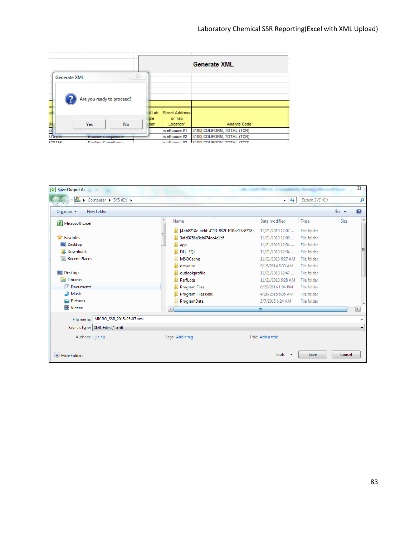|                                                                              |            |                       | <b>Generate XML</b>             |
|------------------------------------------------------------------------------|------------|-----------------------|---------------------------------|
| X<br>Generate XML                                                            |            |                       |                                 |
| Are you ready to proceed?<br>1pl                                             | Il Lab     | <b>Street Address</b> |                                 |
| <b>No</b><br>Yes                                                             | ple<br>ber | or Tap<br>Location*   | Analyte Code*                   |
| $\frac{\frac{\text{(N)}}{\text{57}}}{\frac{\text{57}}{\text{57}}\sqrt{100}}$ |            | wellhouse #1          | 3100  COLIFORM, TOTAL (TCR)     |
| <b>Kuutine-Cumpliance</b>                                                    |            | wellhouse #2          | 3100  COLIFORM, TOTAL (TCR)     |
| Douting Compliance<br><b>C70490</b>                                          |            | City Arrange House    | <b>2400LCOURODM TOTAL (TOD)</b> |

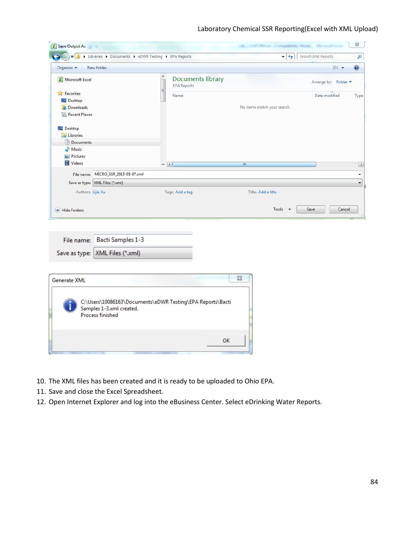|                               | I Libraries I Documents I eDWR Testing I EPA Reports |                           |                                                            |                             | 4 <sub>f</sub><br>▾╎ | Search EPA Reports   | م       |
|-------------------------------|------------------------------------------------------|---------------------------|------------------------------------------------------------|-----------------------------|----------------------|----------------------|---------|
| Organize $\blacktriangledown$ | New folder                                           |                           |                                                            |                             |                      | 脂 ▼                  | $\odot$ |
| Microsoft Excel               |                                                      | $\blacktriangle$          | <b>Documents library</b><br><b>EPA Reports</b>             |                             |                      | Arrange by: Folder ▼ |         |
| <b>X</b> Favorites            |                                                      | 티                         | Name                                                       |                             |                      | Date modified        | Type    |
| Desktop<br>Downloads<br>I In. |                                                      |                           |                                                            | No items match your search. |                      |                      |         |
| <b>Recent Places</b><br>螴     |                                                      |                           |                                                            |                             |                      |                      |         |
|                               |                                                      |                           |                                                            |                             |                      |                      |         |
| Desktop                       |                                                      |                           |                                                            |                             |                      |                      |         |
| Libraries<br>Documents        |                                                      |                           |                                                            |                             |                      |                      |         |
| Music                         |                                                      |                           |                                                            |                             |                      |                      |         |
| Pictures                      |                                                      |                           |                                                            |                             |                      |                      |         |
| Videos                        |                                                      | $\mathbf{v}$ $\mathbf{A}$ |                                                            | Ш                           |                      |                      |         |
|                               | File name: MICRO_SSR_2015-05-07.xml                  |                           |                                                            |                             |                      |                      |         |
|                               | Save as type:   XML Files (*.xml)                    |                           |                                                            |                             |                      |                      |         |
| Authors: Lijie Xu             |                                                      |                           | Tags: Add a tag                                            | Title: Add a title          |                      |                      |         |
|                               |                                                      |                           |                                                            |                             |                      |                      |         |
| Hide Folders                  |                                                      |                           |                                                            |                             | Tools                | Save<br>Cancel       |         |
|                               |                                                      |                           |                                                            |                             |                      |                      |         |
|                               |                                                      |                           |                                                            |                             |                      |                      |         |
|                               |                                                      |                           |                                                            |                             |                      |                      |         |
| File name:                    | Bacti Samples 1-3                                    |                           |                                                            |                             |                      |                      |         |
|                               |                                                      |                           |                                                            |                             |                      |                      |         |
|                               | Save as type:   XML Files (*.xml)                    |                           |                                                            |                             |                      |                      |         |
|                               |                                                      |                           |                                                            |                             |                      |                      |         |
|                               |                                                      |                           |                                                            | $\Sigma$                    |                      |                      |         |
| Generate XML                  |                                                      |                           |                                                            |                             |                      |                      |         |
|                               |                                                      |                           |                                                            |                             |                      |                      |         |
|                               |                                                      |                           | C:\Users\10086163\Documents\eDWR Testing\EPA Reports\Bacti |                             |                      |                      |         |
|                               | Samples 1-3.xml created.<br>Process finished         |                           |                                                            |                             |                      |                      |         |
|                               |                                                      |                           |                                                            |                             |                      |                      |         |
|                               |                                                      |                           | OK                                                         |                             |                      |                      |         |

- 10. The XML files has been created and it is ready to be uploaded to Ohio EPA.
- 11. Save and close the Excel Spreadsheet.
- 12. Open Internet Explorer and log into the eBusiness Center. Select eDrinking Water Reports.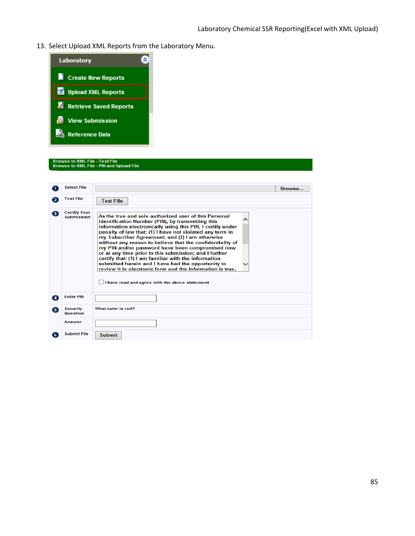13. Select Upload XML Reports from the Laboratory Menu.



# Browse to XML File - Test File<br>Browse to XML File - PIN and Upload File

|                  | <b>Select File</b>                       |                                                                                                                                                                                                                                                                                                                                                                                                                                                                                                                                                                                                                                                                                                 | Browse |
|------------------|------------------------------------------|-------------------------------------------------------------------------------------------------------------------------------------------------------------------------------------------------------------------------------------------------------------------------------------------------------------------------------------------------------------------------------------------------------------------------------------------------------------------------------------------------------------------------------------------------------------------------------------------------------------------------------------------------------------------------------------------------|--------|
|                  | <b>Test File</b>                         | <b>Test File</b>                                                                                                                                                                                                                                                                                                                                                                                                                                                                                                                                                                                                                                                                                |        |
| $\left 3\right $ | <b>Certify Your</b><br><b>Submission</b> | As the true and sole authorized user of this Personal<br>Identification Number (PIN), by transmitting this<br>information electronically using this PIN, I certify under<br>penalty of law that: (1) I have not violated any term in<br>my Subscriber Agreement; and (2) I am otherwise<br>without any reason to believe that the confidentiality of<br>my PIN and/or password have been compromised now<br>or at any time prior to this submission; and I further<br>certify that: (1) I am familiar with the information<br>submitted herein and I have had the opportunity to<br>review it in electronic form and the information is true,<br>I have read and agree with the above statement |        |
|                  | <b>Enter PIN</b>                         |                                                                                                                                                                                                                                                                                                                                                                                                                                                                                                                                                                                                                                                                                                 |        |
| 6                | <b>Security</b><br><b>Question</b>       | What color is red?                                                                                                                                                                                                                                                                                                                                                                                                                                                                                                                                                                                                                                                                              |        |
|                  | Answer                                   |                                                                                                                                                                                                                                                                                                                                                                                                                                                                                                                                                                                                                                                                                                 |        |
|                  | <b>Submit File</b>                       | <b>Submit</b>                                                                                                                                                                                                                                                                                                                                                                                                                                                                                                                                                                                                                                                                                   |        |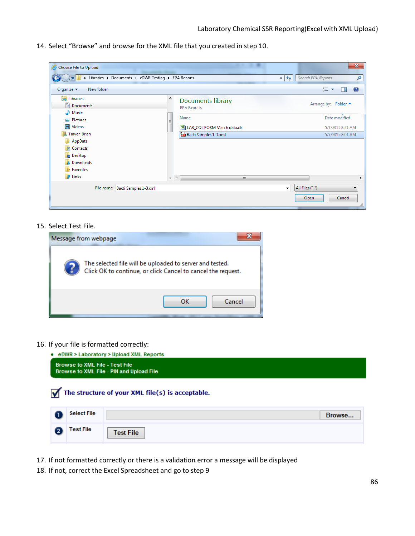14. Select "Browse" and browse for the XML file that you created in step 10.

| Choose File to Upload                              |                                                                    | $\mathbf{x}$                                   |
|----------------------------------------------------|--------------------------------------------------------------------|------------------------------------------------|
| Libraries > Documents > eDWR Testing > EPA Reports |                                                                    | $+$<br>Search EPA Reports<br>۹<br>$\mathbf{v}$ |
| Organize $\blacktriangledown$<br>New folder        |                                                                    | Q<br>888 ▼                                     |
| 高<br>Libraries<br>Documents                        | $\blacktriangle$<br><b>Documents library</b><br><b>EPA Reports</b> | Arrange by:<br>Folder <b>v</b>                 |
| Music<br>Pictures                                  | Name<br>Ξ                                                          | Date modified                                  |
| H<br>Videos                                        | LAB_COLIFORM March data.xls                                        | 5/7/2015 8:21 AM                               |
| Tarver, Brian<br>P.                                | <b>Bacti Samples 1-3.xml</b>                                       | 5/7/2015 8:04 AM                               |
| AppData                                            |                                                                    |                                                |
| <b>Contacts</b>                                    |                                                                    |                                                |
| <b>Desktop</b>                                     |                                                                    |                                                |
| Downloads<br>lh.                                   |                                                                    |                                                |
| <b>P</b> Favorites                                 |                                                                    |                                                |
| <b>A</b> Links                                     | m.<br>$\overline{\nabla}$<br>$\blacktriangleleft$                  |                                                |
| File name: Bacti Samples 1-3.xml                   |                                                                    | All Files (*.*)<br>۰<br>۰                      |
|                                                    |                                                                    | Cancel<br>Open                                 |

15. Select Test File.

| Message from webpage |                                                                                                                          |  |  |
|----------------------|--------------------------------------------------------------------------------------------------------------------------|--|--|
|                      | The selected file will be uploaded to server and tested.<br>Click OK to continue, or click Cancel to cancel the request. |  |  |
|                      | Cancel<br>ок                                                                                                             |  |  |

16. If your file is formatted correctly:

| • eDWR > Laboratory > Upload XML Reports<br><b>Browse to XML File - Test File</b><br>Browse to XML File - PIN and Upload File |                    |                  |        |  |  |
|-------------------------------------------------------------------------------------------------------------------------------|--------------------|------------------|--------|--|--|
| The structure of your XML file(s) is acceptable.                                                                              |                    |                  |        |  |  |
|                                                                                                                               | <b>Select File</b> |                  | Browse |  |  |
|                                                                                                                               | <b>Test File</b>   | <b>Test File</b> |        |  |  |

- 17. If not formatted correctly or there is a validation error a message will be displayed
- 18. If not, correct the Excel Spreadsheet and go to step 9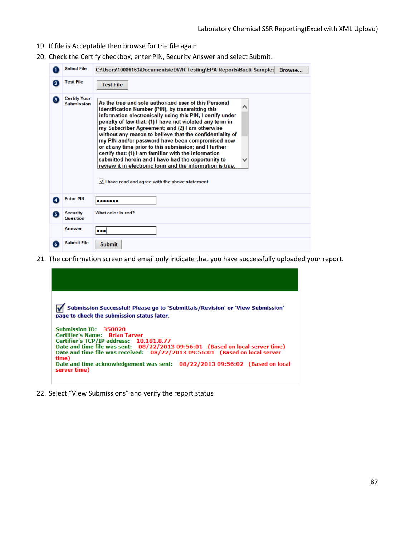- 19. If file is Acceptable then browse for the file again
- 20. Check the Certify checkbox, enter PIN, Security Answer and select Submit.

|                   | <b>Select File</b>                       | C:\Users\10086163\Documents\eDWR Testing\EPA Reports\Bacti Samples<br>Browse                                                                                                                                                                                                                                                                                                                                                                                                                                                                                                                                                                                                                           |
|-------------------|------------------------------------------|--------------------------------------------------------------------------------------------------------------------------------------------------------------------------------------------------------------------------------------------------------------------------------------------------------------------------------------------------------------------------------------------------------------------------------------------------------------------------------------------------------------------------------------------------------------------------------------------------------------------------------------------------------------------------------------------------------|
| $\mathbf{2}$      | <b>Test File</b>                         | <b>Test File</b>                                                                                                                                                                                                                                                                                                                                                                                                                                                                                                                                                                                                                                                                                       |
| 3                 | <b>Certify Your</b><br><b>Submission</b> | As the true and sole authorized user of this Personal<br>Identification Number (PIN), by transmitting this<br>information electronically using this PIN, I certify under<br>penalty of law that: (1) I have not violated any term in<br>my Subscriber Agreement; and (2) I am otherwise<br>without any reason to believe that the confidentiality of<br>my PIN and/or password have been compromised now<br>or at any time prior to this submission; and I further<br>certify that: (1) I am familiar with the information<br>submitted herein and I have had the opportunity to<br>review it in electronic form and the information is true.<br>$\vee$ I have read and agree with the above statement |
| $\overline{a}$    | <b>Enter PIN</b>                         |                                                                                                                                                                                                                                                                                                                                                                                                                                                                                                                                                                                                                                                                                                        |
| 6                 | <b>Security</b><br>Question              | What color is red?                                                                                                                                                                                                                                                                                                                                                                                                                                                                                                                                                                                                                                                                                     |
|                   | Answer                                   |                                                                                                                                                                                                                                                                                                                                                                                                                                                                                                                                                                                                                                                                                                        |
| $\lceil 6 \rceil$ | <b>Submit File</b>                       | <b>Submit</b>                                                                                                                                                                                                                                                                                                                                                                                                                                                                                                                                                                                                                                                                                          |

21. The confirmation screen and email only indicate that you have successfully uploaded your report.



22. Select "View Submissions" and verify the report status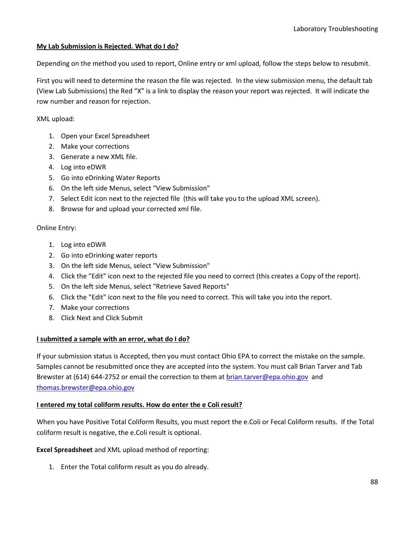#### **My Lab Submission is Rejected. What do I do?**

Depending on the method you used to report, Online entry or xml upload, follow the steps below to resubmit.

First you will need to determine the reason the file was rejected. In the view submission menu, the default tab (View Lab Submissions) the Red "X" is a link to display the reason your report was rejected. It will indicate the row number and reason for rejection.

XML upload:

- 1. Open your Excel Spreadsheet
- 2. Make your corrections
- 3. Generate a new XML file.
- 4. Log into eDWR
- 5. Go into eDrinking Water Reports
- 6. On the left side Menus, select "View Submission"
- 7. Select Edit icon next to the rejected file (this will take you to the upload XML screen).
- 8. Browse for and upload your corrected xml file.

#### Online Entry:

- 1. Log into eDWR
- 2. Go into eDrinking water reports
- 3. On the left side Menus, select "View Submission"
- 4. Click the "Edit" icon next to the rejected file you need to correct (this creates a Copy of the report).
- 5. On the left side Menus, select "Retrieve Saved Reports"
- 6. Click the "Edit" icon next to the file you need to correct. This will take you into the report.
- 7. Make your corrections
- 8. Click Next and Click Submit

#### **I submitted a sample with an error, what do I do?**

If your submission status is Accepted, then you must contact Ohio EPA to correct the mistake on the sample. Samples cannot be resubmitted once they are accepted into the system. You must call Brian Tarver and Tab Brewster at (614) 644-2752 or email the correction to them at [brian.tarver@epa.ohio.gov](mailto:brian.tarver@epa.ohio.gov) and [thomas.brewster@epa.ohio.gov](mailto:thomas.brewster@epa.ohio.gov)

#### **I entered my total coliform results. How do enter the e Coli result?**

When you have Positive Total Coliform Results, you must report the e.Coli or Fecal Coliform results. If the Total coliform result is negative, the e.Coli result is optional.

#### **Excel Spreadsheet** and XML upload method of reporting:

1. Enter the Total coliform result as you do already.